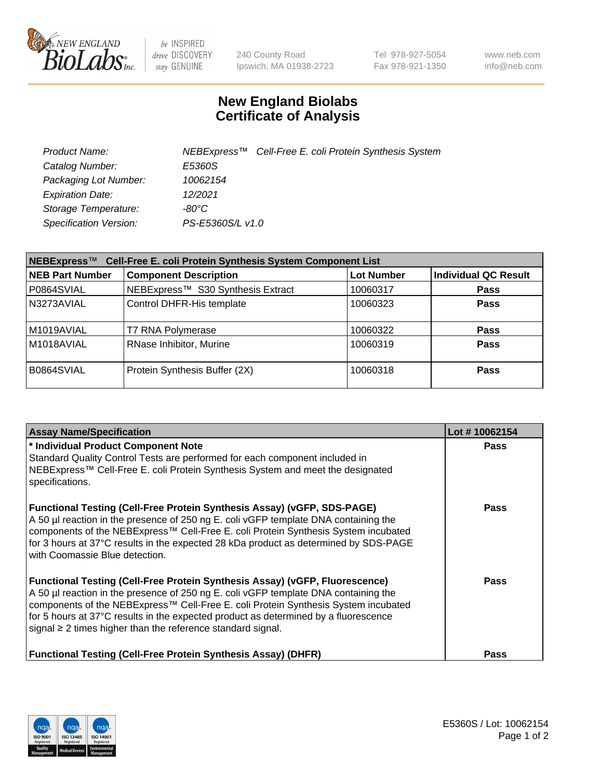

 $be$  INSPIRED drive DISCOVERY stay GENUINE

240 County Road Ipswich, MA 01938-2723 Tel 978-927-5054 Fax 978-921-1350 www.neb.com info@neb.com

## **New England Biolabs Certificate of Analysis**

| Product Name:           |                  | NEBExpress <sup>™</sup> Cell-Free E. coli Protein Synthesis System |
|-------------------------|------------------|--------------------------------------------------------------------|
| Catalog Number:         | E5360S           |                                                                    |
| Packaging Lot Number:   | 10062154         |                                                                    |
| <b>Expiration Date:</b> | 12/2021          |                                                                    |
| Storage Temperature:    | -80°C            |                                                                    |
| Specification Version:  | PS-E5360S/L v1.0 |                                                                    |

| NEBExpress™<br>Cell-Free E. coli Protein Synthesis System Component List |                                   |                   |                             |  |
|--------------------------------------------------------------------------|-----------------------------------|-------------------|-----------------------------|--|
| <b>NEB Part Number</b>                                                   | <b>Component Description</b>      | <b>Lot Number</b> | <b>Individual QC Result</b> |  |
| P0864SVIAL                                                               | NEBExpress™ S30 Synthesis Extract | 10060317          | <b>Pass</b>                 |  |
| N3273AVIAL                                                               | Control DHFR-His template         | 10060323          | <b>Pass</b>                 |  |
| M1019AVIAL                                                               | T7 RNA Polymerase                 | 10060322          | <b>Pass</b>                 |  |
| M1018AVIAL                                                               | RNase Inhibitor, Murine           | 10060319          | <b>Pass</b>                 |  |
| B0864SVIAL                                                               | Protein Synthesis Buffer (2X)     | 10060318          | <b>Pass</b>                 |  |

| <b>Assay Name/Specification</b>                                                                                                                                                                                                                                                                                                                                                                                            | Lot #10062154 |
|----------------------------------------------------------------------------------------------------------------------------------------------------------------------------------------------------------------------------------------------------------------------------------------------------------------------------------------------------------------------------------------------------------------------------|---------------|
| * Individual Product Component Note<br>Standard Quality Control Tests are performed for each component included in<br>NEBExpress™ Cell-Free E. coli Protein Synthesis System and meet the designated<br>specifications.                                                                                                                                                                                                    | <b>Pass</b>   |
| <b>Functional Testing (Cell-Free Protein Synthesis Assay) (vGFP, SDS-PAGE)</b><br>A 50 µl reaction in the presence of 250 ng E. coli vGFP template DNA containing the<br>  components of the NEBExpress™ Cell-Free E. coli Protein Synthesis System incubated<br>for 3 hours at 37°C results in the expected 28 kDa product as determined by SDS-PAGE<br>with Coomassie Blue detection.                                    | <b>Pass</b>   |
| <b>Functional Testing (Cell-Free Protein Synthesis Assay) (vGFP, Fluorescence)</b><br>A 50 µl reaction in the presence of 250 ng E. coli vGFP template DNA containing the<br>components of the NEBExpress™ Cell-Free E. coli Protein Synthesis System incubated<br>for 5 hours at 37°C results in the expected product as determined by a fluorescence<br>signal $\geq$ 2 times higher than the reference standard signal. | <b>Pass</b>   |
| <b>Functional Testing (Cell-Free Protein Synthesis Assay) (DHFR)</b>                                                                                                                                                                                                                                                                                                                                                       | Pass          |